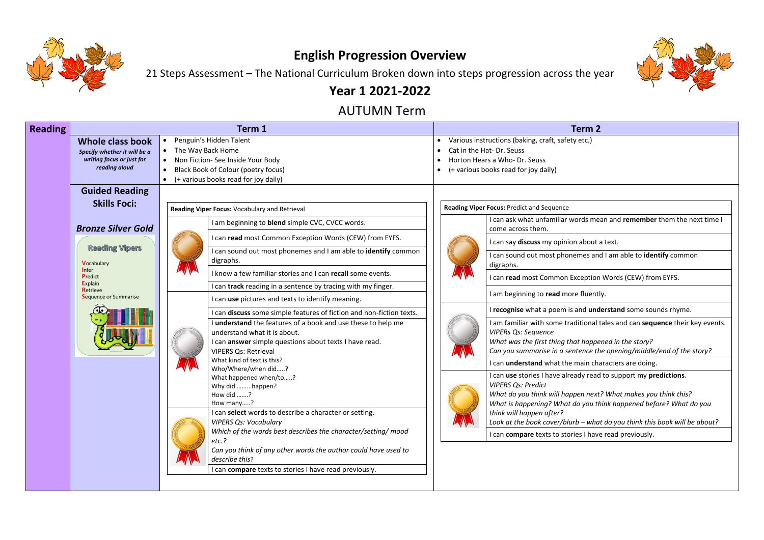

## **English Progression Overview**

21 Steps Assessment – The National Curriculum Broken down into steps progression across the year

## **Year 1 2021-2022**

### AUTUMN Term

*Look at the book cover/blurb – what do you think this book will be about?* es I have read previously.

| <b>Reading</b> |                                                                                                                                                                          | Term 1                                                                                                                                                                                                                                                                                                                                                                                                                                                                                                                                                                                                                                                                                                                                     | <b>Term 2</b>                                                                                                                                                                                                                                                                                                                                                                                                                                                                                                                                    |  |  |  |  |
|----------------|--------------------------------------------------------------------------------------------------------------------------------------------------------------------------|--------------------------------------------------------------------------------------------------------------------------------------------------------------------------------------------------------------------------------------------------------------------------------------------------------------------------------------------------------------------------------------------------------------------------------------------------------------------------------------------------------------------------------------------------------------------------------------------------------------------------------------------------------------------------------------------------------------------------------------------|--------------------------------------------------------------------------------------------------------------------------------------------------------------------------------------------------------------------------------------------------------------------------------------------------------------------------------------------------------------------------------------------------------------------------------------------------------------------------------------------------------------------------------------------------|--|--|--|--|
|                | Whole class book<br>Specify whether it will be a<br>writing focus or just for<br>reading aloud                                                                           | Penguin's Hidden Talent<br>The Way Back Home<br>Non Fiction- See Inside Your Body<br><b>Black Book of Colour (poetry focus)</b><br>(+ various books read for joy daily)                                                                                                                                                                                                                                                                                                                                                                                                                                                                                                                                                                    | Various instructions (baking, craft, safety etc.)<br>Cat in the Hat-Dr. Seuss<br>Horton Hears a Who- Dr. Seuss<br>(+ various books read for joy daily)                                                                                                                                                                                                                                                                                                                                                                                           |  |  |  |  |
|                | <b>Guided Reading</b><br><b>Skills Foci:</b>                                                                                                                             | Reading Viper Focus: Vocabulary and Retrieval                                                                                                                                                                                                                                                                                                                                                                                                                                                                                                                                                                                                                                                                                              | Reading Viper Focus: Predict and Sequence                                                                                                                                                                                                                                                                                                                                                                                                                                                                                                        |  |  |  |  |
|                | <b>Bronze Silver Gold</b><br><b>Reading Vipers</b><br><b>Vocabulary</b><br><b>I</b> nfer<br>Predict<br><b>Explain</b><br><b>Retrieve</b><br><b>Sequence or Summarise</b> | I am beginning to <b>blend</b> simple CVC, CVCC words.<br>can read most Common Exception Words (CEW) from EYFS.<br>can sound out most phonemes and I am able to identify common<br>digraphs.<br>I know a few familiar stories and I can recall some events.<br>can track reading in a sentence by tracing with my finger.<br>can use pictures and texts to identify meaning.<br>can discuss some simple features of fiction and non-fiction texts.<br>understand the features of a book and use these to help me<br>understand what it is about.<br>can answer simple questions about texts I have read.<br><b>VIPERS Qs: Retrieval</b><br>What kind of text is this?<br>Who/Where/when did?<br>What happened when/to?<br>Why did  happen? | I can ask what unfamiliar words me<br>come across them.<br>I can say <b>discuss</b> my opinion about a<br>I can sound out most phonemes and<br>digraphs.<br>I can read most Common Exception<br>I am beginning to read more fluentl<br>I recognise what a poem is and und<br>I am familiar with some traditional t<br><b>VIPERs Qs: Sequence</b><br>What was the first thing that happe<br>Can you summarise in a sentence th<br>I can <b>understand</b> what the main cha<br>I can use stories I have already read<br><b>VIPERS Qs: Predict</b> |  |  |  |  |
|                |                                                                                                                                                                          | How did ?<br>How many?<br>I can select words to describe a character or setting.<br><b>VIPERS Qs: Vocabulary</b><br>Which of the words best describes the character/setting/ mood<br>etc.?<br>Can you think of any other words the author could have used to<br>describe this?<br>I can compare texts to stories I have read previously.                                                                                                                                                                                                                                                                                                                                                                                                   | What do you think will happen next<br>What is happening? What do you th<br>think will happen after?<br>Look at the book cover/blurb - what<br>I can compare texts to stories I have                                                                                                                                                                                                                                                                                                                                                              |  |  |  |  |



|  | rm |  |  |
|--|----|--|--|
|  |    |  |  |

I can and **remember** them the next time I

about a text.

mes and I am able to *identify* common

**I ception Words (CEW) from EYFS.** 

fluently.

I **read understand** some sounds rhyme.

litional tales and can **sequence** their key events.

*What was the first thing that happened in the story? Can you summarise in a sentence the opening/middle/end of the story?*

nain characters are doing.

I dy read to support my **predictions**.

*What do you think will happen next? What makes you think this? What is happening? What do you think happened before? What do you*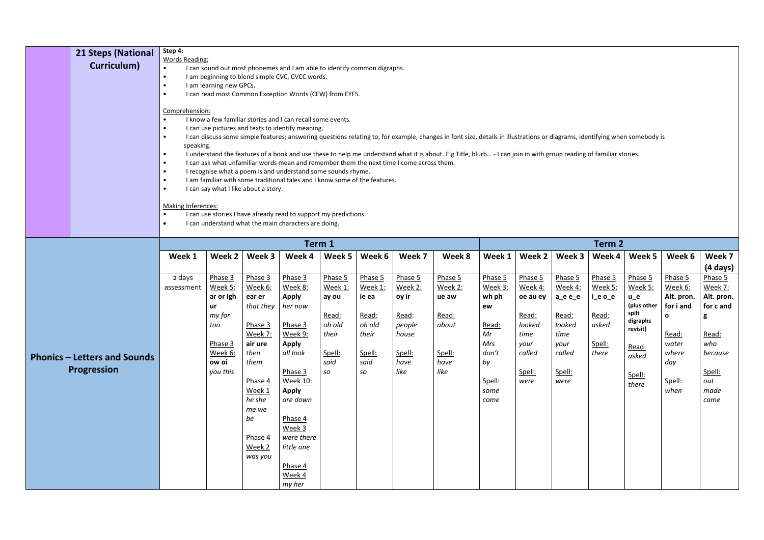| <b>Words Reading:</b><br>Curriculum)<br>I can sound out most phonemes and I am able to identify common digraphs.<br>$\bullet$<br>I am beginning to blend simple CVC, CVCC words.<br>$\bullet$<br>I am learning new GPCs.<br>$\bullet$<br>I can read most Common Exception Words (CEW) from EYFS.<br>$\bullet$<br>Comprehension:<br>I know a few familiar stories and I can recall some events.<br>I can use pictures and texts to identify meaning.<br>$\bullet$<br>I can discuss some simple features; answering questions relating to, for example, changes in font size, details in illustrations or diagrams, identifying when somebody is<br>$\bullet$<br>speaking.<br>I understand the features of a book and use these to help me understand what it is about. E.g Title, blurb - I can join in with group reading of familiar stories.<br>$\bullet$<br>I can ask what unfamiliar words mean and remember them the next time I come across them.<br>$\bullet$<br>I recognise what a poem is and understand some sounds rhyme.<br>$\bullet$<br>I am familiar with some traditional tales and I know some of the features.<br>$\bullet$ |                                                    |                      |                                                                                                                                                                                                         |                                                                                                                                                                          |                                                                                                                                                                                                                                                         |                                                                                 |                                                                                               |                                                                                   |                                                                         |                                                                                                  |                                                                                               |                                                                                                   |                                                                    |                                                                                                                  |                                                                                                                      |                                                                                                                       |  |
|----------------------------------------------------------------------------------------------------------------------------------------------------------------------------------------------------------------------------------------------------------------------------------------------------------------------------------------------------------------------------------------------------------------------------------------------------------------------------------------------------------------------------------------------------------------------------------------------------------------------------------------------------------------------------------------------------------------------------------------------------------------------------------------------------------------------------------------------------------------------------------------------------------------------------------------------------------------------------------------------------------------------------------------------------------------------------------------------------------------------------------------------|----------------------------------------------------|----------------------|---------------------------------------------------------------------------------------------------------------------------------------------------------------------------------------------------------|--------------------------------------------------------------------------------------------------------------------------------------------------------------------------|---------------------------------------------------------------------------------------------------------------------------------------------------------------------------------------------------------------------------------------------------------|---------------------------------------------------------------------------------|-----------------------------------------------------------------------------------------------|-----------------------------------------------------------------------------------|-------------------------------------------------------------------------|--------------------------------------------------------------------------------------------------|-----------------------------------------------------------------------------------------------|---------------------------------------------------------------------------------------------------|--------------------------------------------------------------------|------------------------------------------------------------------------------------------------------------------|----------------------------------------------------------------------------------------------------------------------|-----------------------------------------------------------------------------------------------------------------------|--|
|                                                                                                                                                                                                                                                                                                                                                                                                                                                                                                                                                                                                                                                                                                                                                                                                                                                                                                                                                                                                                                                                                                                                              |                                                    |                      | I can say what I like about a story.<br><b>Making Inferences:</b><br>I can use stories I have already read to support my predictions.<br>I can understand what the main characters are doing.<br>Term 1 |                                                                                                                                                                          |                                                                                                                                                                                                                                                         |                                                                                 |                                                                                               |                                                                                   |                                                                         |                                                                                                  |                                                                                               |                                                                                                   |                                                                    |                                                                                                                  |                                                                                                                      |                                                                                                                       |  |
|                                                                                                                                                                                                                                                                                                                                                                                                                                                                                                                                                                                                                                                                                                                                                                                                                                                                                                                                                                                                                                                                                                                                              |                                                    |                      |                                                                                                                                                                                                         |                                                                                                                                                                          |                                                                                                                                                                                                                                                         |                                                                                 |                                                                                               | Term 2                                                                            |                                                                         |                                                                                                  |                                                                                               |                                                                                                   |                                                                    |                                                                                                                  |                                                                                                                      |                                                                                                                       |  |
|                                                                                                                                                                                                                                                                                                                                                                                                                                                                                                                                                                                                                                                                                                                                                                                                                                                                                                                                                                                                                                                                                                                                              |                                                    | Week 1               | Week 2                                                                                                                                                                                                  | Week 3                                                                                                                                                                   | Week 4                                                                                                                                                                                                                                                  | Week 5                                                                          | Week 6                                                                                        | Week 7                                                                            | Week 8                                                                  | Week 1                                                                                           | Week 2                                                                                        | Week 3                                                                                            | Week 4                                                             | Week 5                                                                                                           | Week 6                                                                                                               | Week 7<br>$(4 \text{ days})$                                                                                          |  |
|                                                                                                                                                                                                                                                                                                                                                                                                                                                                                                                                                                                                                                                                                                                                                                                                                                                                                                                                                                                                                                                                                                                                              | <b>Phonics – Letters and Sounds</b><br>Progression | 2 days<br>assessment | Phase 3<br>Week 5:<br>ar or igh<br>ur<br>my for<br>too<br>Phase 3<br>Week 6:<br>ow oi<br>you this                                                                                                       | Phase 3<br>Week 6:<br>ear er<br>that they<br>Phase 3<br>Week 7:<br>air ure<br>then<br>them<br>Phase 4<br>Week 1<br>he she<br>me we<br>be<br>Phase 4<br>Week 2<br>was you | Phase 3<br>Week 8:<br><b>Apply</b><br>her now<br><u>Phase 3</u><br><u>Week 9:</u><br><b>Apply</b><br>all look<br>Phase 3<br><b>Week 10:</b><br><b>Apply</b><br>are down<br>Phase 4<br>Week 3<br>were there<br>little one<br>Phase 4<br>Week 4<br>my her | Phase 5<br>Week 1:<br>ay ou<br>Read:<br>oh old<br>their<br>Spell:<br>said<br>SO | Phase 5<br>Week 1:<br>ie ea<br><u>Read:</u><br>oh old<br>their<br>Spell:<br>said<br><b>SO</b> | Phase 5<br>Week 2:<br>oy ir<br>Read:<br>people<br>house<br>Spell:<br>have<br>like | Phase 5<br>Week 2:<br>ue aw<br>Read:<br>about<br>Spell:<br>have<br>like | Phase 5<br>Week 3:<br>wh ph<br>ew<br>Read:<br>Mr<br>Mrs<br>don't<br>by<br>Spell:<br>some<br>come | Phase 5<br>Week 4:<br>oe au ey<br>Read:<br>looked<br>time<br>your<br>called<br>Spell:<br>were | Phase 5<br>Week 4:<br>$a_e$ e $_e$<br>Read:<br>looked<br>time<br>your<br>called<br>Spell:<br>were | Phase 5<br>Week 5:<br>i_e o_e<br>Read:<br>asked<br>Spell:<br>there | Phase 5<br>Week 5:<br>$u_e$<br>(plus other<br>spilt<br>digraphs<br>revisit)<br>Read:<br>asked<br>Spell:<br>there | Phase 5<br><u>Week 6:</u><br>Alt. pron.<br>for i and<br>$\Omega$<br>Read:<br>water<br>where<br>day<br>Spell:<br>when | Phase 5<br><b>Week 7:</b><br>Alt. pron.<br>for c and<br>g<br>Read:<br>who<br>because<br>Spell:<br>out<br>made<br>came |  |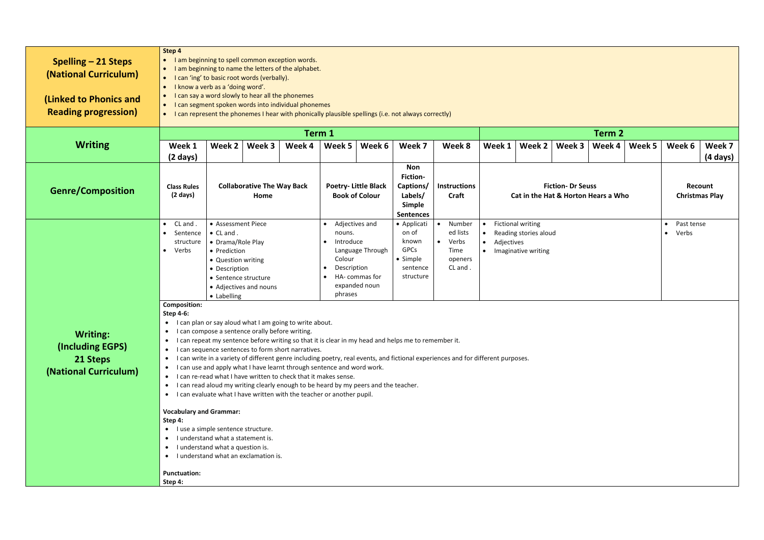|                             | Step 4                                                                                                  |                                                                                                        |                                                  |                                                                                     |                             |                            |                                                                                                                                  |                     |           |                                     |                       |                          |        |            |                    |                       |
|-----------------------------|---------------------------------------------------------------------------------------------------------|--------------------------------------------------------------------------------------------------------|--------------------------------------------------|-------------------------------------------------------------------------------------|-----------------------------|----------------------------|----------------------------------------------------------------------------------------------------------------------------------|---------------------|-----------|-------------------------------------|-----------------------|--------------------------|--------|------------|--------------------|-----------------------|
| Spelling $-21$ Steps        | $\bullet$                                                                                               |                                                                                                        |                                                  | I am beginning to spell common exception words.                                     |                             |                            |                                                                                                                                  |                     |           |                                     |                       |                          |        |            |                    |                       |
|                             | $\bullet$                                                                                               |                                                                                                        |                                                  | I am beginning to name the letters of the alphabet.                                 |                             |                            |                                                                                                                                  |                     |           |                                     |                       |                          |        |            |                    |                       |
| (National Curriculum)       | $\bullet$                                                                                               |                                                                                                        | I can 'ing' to basic root words (verbally).      |                                                                                     |                             |                            |                                                                                                                                  |                     |           |                                     |                       |                          |        |            |                    |                       |
|                             | $\bullet$                                                                                               | I know a verb as a 'doing word'.                                                                       |                                                  |                                                                                     |                             |                            |                                                                                                                                  |                     |           |                                     |                       |                          |        |            |                    |                       |
| (Linked to Phonics and      | $\bullet$                                                                                               |                                                                                                        | I can say a word slowly to hear all the phonemes |                                                                                     |                             |                            |                                                                                                                                  |                     |           |                                     |                       |                          |        |            |                    |                       |
|                             | $\bullet$                                                                                               |                                                                                                        |                                                  | I can segment spoken words into individual phonemes                                 |                             |                            |                                                                                                                                  |                     |           |                                     |                       |                          |        |            |                    |                       |
| <b>Reading progression)</b> | $\bullet$                                                                                               |                                                                                                        |                                                  |                                                                                     |                             |                            | I can represent the phonemes I hear with phonically plausible spellings (i.e. not always correctly)                              |                     |           |                                     |                       |                          |        |            |                    |                       |
|                             |                                                                                                         |                                                                                                        |                                                  |                                                                                     |                             |                            |                                                                                                                                  |                     |           |                                     |                       |                          |        |            |                    |                       |
|                             |                                                                                                         |                                                                                                        |                                                  |                                                                                     | Term 1                      |                            |                                                                                                                                  |                     |           |                                     |                       |                          | Term 2 |            |                    |                       |
| <b>Writing</b>              | Week 1                                                                                                  | Week 2                                                                                                 | Week 3                                           | Week 4                                                                              | Week 5                      | Week 6                     | Week 7                                                                                                                           | Week 8              |           | Week 1                              | <b>Week 2</b>         | Week 3                   | Week 4 | Week 5     | Week 6             | Week 7                |
|                             |                                                                                                         |                                                                                                        |                                                  |                                                                                     |                             |                            |                                                                                                                                  |                     |           |                                     |                       |                          |        |            |                    |                       |
|                             | $(2 \text{ days})$                                                                                      |                                                                                                        |                                                  |                                                                                     |                             |                            |                                                                                                                                  |                     |           |                                     |                       |                          |        |            |                    | (4 days)              |
|                             |                                                                                                         |                                                                                                        |                                                  |                                                                                     |                             |                            | <b>Non</b>                                                                                                                       |                     |           |                                     |                       |                          |        |            |                    |                       |
|                             |                                                                                                         |                                                                                                        |                                                  |                                                                                     | <b>Fiction-</b>             |                            |                                                                                                                                  |                     |           |                                     |                       |                          |        |            |                    |                       |
| <b>Genre/Composition</b>    | <b>Class Rules</b>                                                                                      |                                                                                                        | <b>Collaborative The Way Back</b>                |                                                                                     |                             | <b>Poetry-Little Black</b> | Captions/                                                                                                                        | <b>Instructions</b> |           |                                     |                       | <b>Fiction- Dr Seuss</b> |        |            |                    | Recount               |
|                             | $(2 \text{ days})$                                                                                      |                                                                                                        | Home                                             |                                                                                     |                             | <b>Book of Colour</b>      | Labels/<br>Craft                                                                                                                 |                     |           | Cat in the Hat & Horton Hears a Who |                       |                          |        |            |                    | <b>Christmas Play</b> |
|                             |                                                                                                         |                                                                                                        |                                                  |                                                                                     |                             |                            | <b>Simple</b>                                                                                                                    |                     |           |                                     |                       |                          |        |            |                    |                       |
|                             |                                                                                                         |                                                                                                        |                                                  |                                                                                     |                             |                            | <b>Sentences</b>                                                                                                                 |                     |           |                                     |                       |                          |        |            |                    |                       |
|                             | CL and<br>$\bullet$                                                                                     | <b>Fictional writing</b><br>• Assessment Piece<br>Adjectives and<br>Number<br>• Applicati<br>$\bullet$ |                                                  |                                                                                     |                             |                            |                                                                                                                                  |                     |           |                                     |                       |                          |        | Past tense |                    |                       |
|                             | Sentence<br>$\bullet$                                                                                   | $\bullet$ CL and .                                                                                     |                                                  |                                                                                     | nouns.                      |                            | on of                                                                                                                            | ed lists            | $\bullet$ |                                     | Reading stories aloud |                          |        |            | Verbs<br>$\bullet$ |                       |
|                             | Introduce<br>known<br>Verbs<br>• Drama/Role Play<br>$\bullet$<br>• Adjectives<br>structure<br>$\bullet$ |                                                                                                        |                                                  |                                                                                     |                             |                            |                                                                                                                                  |                     |           |                                     |                       |                          |        |            |                    |                       |
|                             | Verbs<br>$\bullet$                                                                                      | • Prediction                                                                                           |                                                  |                                                                                     |                             | Language Through           | GPCs                                                                                                                             | Time                |           |                                     | • Imaginative writing |                          |        |            |                    |                       |
|                             |                                                                                                         | • Question writing                                                                                     |                                                  |                                                                                     | Colour                      |                            | • Simple                                                                                                                         | openers             |           |                                     |                       |                          |        |            |                    |                       |
|                             |                                                                                                         | • Description                                                                                          |                                                  |                                                                                     | Description<br>$\bullet$    |                            | sentence                                                                                                                         | CL and.             |           |                                     |                       |                          |        |            |                    |                       |
|                             |                                                                                                         | • Sentence structure                                                                                   |                                                  |                                                                                     | structure<br>HA- commas for |                            |                                                                                                                                  |                     |           |                                     |                       |                          |        |            |                    |                       |
|                             |                                                                                                         |                                                                                                        | • Adjectives and nouns                           |                                                                                     | expanded noun               |                            |                                                                                                                                  |                     |           |                                     |                       |                          |        |            |                    |                       |
|                             |                                                                                                         | • Labelling                                                                                            |                                                  |                                                                                     | phrases                     |                            |                                                                                                                                  |                     |           |                                     |                       |                          |        |            |                    |                       |
|                             | <b>Composition:</b>                                                                                     |                                                                                                        |                                                  |                                                                                     |                             |                            |                                                                                                                                  |                     |           |                                     |                       |                          |        |            |                    |                       |
|                             | <b>Step 4-6:</b>                                                                                        |                                                                                                        |                                                  |                                                                                     |                             |                            |                                                                                                                                  |                     |           |                                     |                       |                          |        |            |                    |                       |
|                             | $\bullet$                                                                                               |                                                                                                        |                                                  | I can plan or say aloud what I am going to write about.                             |                             |                            |                                                                                                                                  |                     |           |                                     |                       |                          |        |            |                    |                       |
| <b>Writing:</b>             | $\bullet$                                                                                               |                                                                                                        | I can compose a sentence orally before writing.  |                                                                                     |                             |                            |                                                                                                                                  |                     |           |                                     |                       |                          |        |            |                    |                       |
|                             | $\bullet$                                                                                               |                                                                                                        |                                                  |                                                                                     |                             |                            | I can repeat my sentence before writing so that it is clear in my head and helps me to remember it.                              |                     |           |                                     |                       |                          |        |            |                    |                       |
| (Including EGPS)            | $\bullet$                                                                                               |                                                                                                        |                                                  | I can sequence sentences to form short narratives.                                  |                             |                            |                                                                                                                                  |                     |           |                                     |                       |                          |        |            |                    |                       |
| 21 Steps                    | $\bullet$                                                                                               |                                                                                                        |                                                  |                                                                                     |                             |                            | I can write in a variety of different genre including poetry, real events, and fictional experiences and for different purposes. |                     |           |                                     |                       |                          |        |            |                    |                       |
| (National Curriculum)       | $\bullet$                                                                                               |                                                                                                        |                                                  | I can use and apply what I have learnt through sentence and word work.              |                             |                            |                                                                                                                                  |                     |           |                                     |                       |                          |        |            |                    |                       |
|                             | $\bullet$                                                                                               |                                                                                                        |                                                  | I can re-read what I have written to check that it makes sense.                     |                             |                            |                                                                                                                                  |                     |           |                                     |                       |                          |        |            |                    |                       |
|                             | $\bullet$                                                                                               |                                                                                                        |                                                  | I can read aloud my writing clearly enough to be heard by my peers and the teacher. |                             |                            |                                                                                                                                  |                     |           |                                     |                       |                          |        |            |                    |                       |
|                             | $\bullet$                                                                                               |                                                                                                        |                                                  | I can evaluate what I have written with the teacher or another pupil.               |                             |                            |                                                                                                                                  |                     |           |                                     |                       |                          |        |            |                    |                       |
|                             |                                                                                                         |                                                                                                        |                                                  |                                                                                     |                             |                            |                                                                                                                                  |                     |           |                                     |                       |                          |        |            |                    |                       |
|                             | <b>Vocabulary and Grammar:</b>                                                                          |                                                                                                        |                                                  |                                                                                     |                             |                            |                                                                                                                                  |                     |           |                                     |                       |                          |        |            |                    |                       |
|                             | Step 4:                                                                                                 |                                                                                                        |                                                  |                                                                                     |                             |                            |                                                                                                                                  |                     |           |                                     |                       |                          |        |            |                    |                       |
|                             | $\bullet$                                                                                               | I use a simple sentence structure.                                                                     |                                                  |                                                                                     |                             |                            |                                                                                                                                  |                     |           |                                     |                       |                          |        |            |                    |                       |
|                             | $\bullet$                                                                                               | I understand what a statement is.                                                                      |                                                  |                                                                                     |                             |                            |                                                                                                                                  |                     |           |                                     |                       |                          |        |            |                    |                       |
|                             | $\bullet$                                                                                               | I understand what a question is.                                                                       |                                                  |                                                                                     |                             |                            |                                                                                                                                  |                     |           |                                     |                       |                          |        |            |                    |                       |
|                             | I understand what an exclamation is.<br>$\bullet$                                                       |                                                                                                        |                                                  |                                                                                     |                             |                            |                                                                                                                                  |                     |           |                                     |                       |                          |        |            |                    |                       |
|                             | <b>Punctuation:</b>                                                                                     |                                                                                                        |                                                  |                                                                                     |                             |                            |                                                                                                                                  |                     |           |                                     |                       |                          |        |            |                    |                       |
|                             | Step 4:                                                                                                 |                                                                                                        |                                                  |                                                                                     |                             |                            |                                                                                                                                  |                     |           |                                     |                       |                          |        |            |                    |                       |
|                             |                                                                                                         |                                                                                                        |                                                  |                                                                                     |                             |                            |                                                                                                                                  |                     |           |                                     |                       |                          |        |            |                    |                       |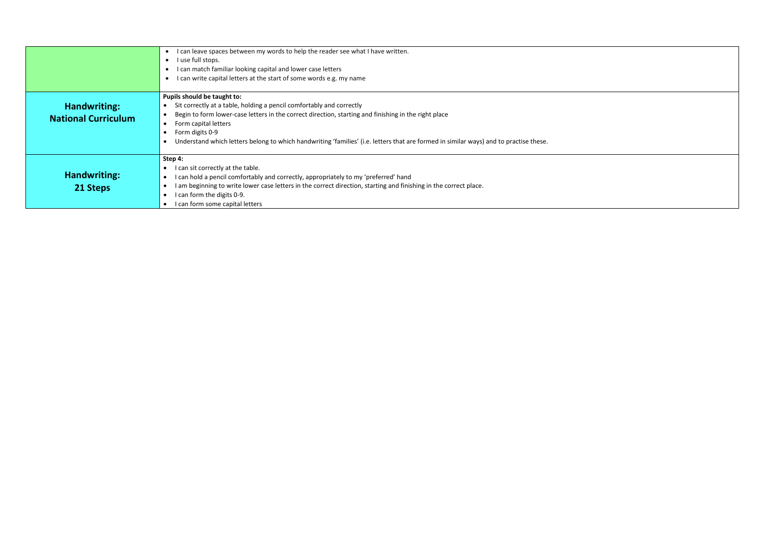|                                            | I can leave spaces between my words to help the reader see what I have written.<br>I use full stops.<br>I can match familiar looking capital and lower case letters<br>can write capital letters at the start of some words e.g. my name                                                                                                                                                        |
|--------------------------------------------|-------------------------------------------------------------------------------------------------------------------------------------------------------------------------------------------------------------------------------------------------------------------------------------------------------------------------------------------------------------------------------------------------|
| Handwriting:<br><b>National Curriculum</b> | Pupils should be taught to:<br>Sit correctly at a table, holding a pencil comfortably and correctly<br>Begin to form lower-case letters in the correct direction, starting and finishing in the right place<br>Form capital letters<br>Form digits 0-9<br>Understand which letters belong to which handwriting 'families' (i.e. letters that are formed in similar ways) and to practise these. |
| Handwriting:<br>21 Steps                   | Step 4:<br>I can sit correctly at the table.<br>I can hold a pencil comfortably and correctly, appropriately to my 'preferred' hand<br>I am beginning to write lower case letters in the correct direction, starting and finishing in the correct place.<br>I can form the digits 0-9.<br>I can form some capital letters                                                                       |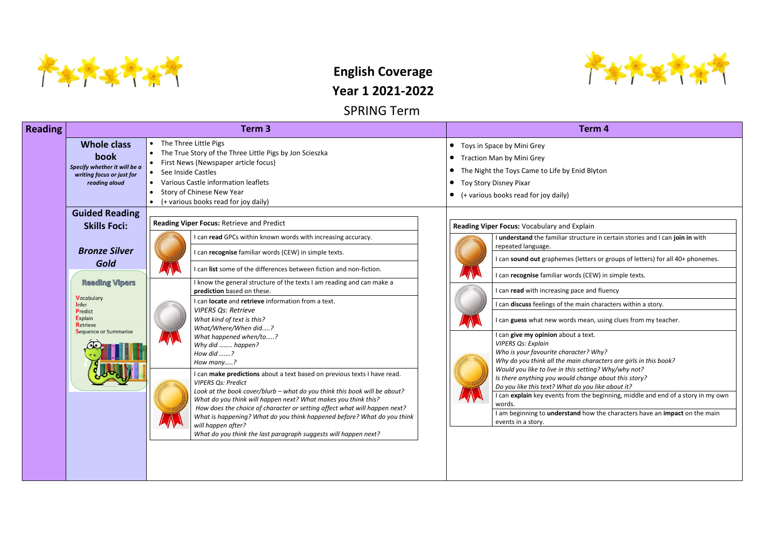

# **English Coverage**

**Year 1 2021-2022**

SPRING Term

*Who is your favourite character? Why? Why do you think all the main characters are girls in this book? Would you like to live in this setting? Why/why not? <i>Ishange about this story? do you like about it?* I the beginning, middle and end of a story in my own

**d** how the characters have an **impact** on the main

| <b>Reading</b> |                                                                                                                                                                                                                     | Term <sub>3</sub>                                                                                                                                                                                                                                                                                                                                                                                                                                                                                                                                                                                                                                                                                                                                                                                                                                                                                                                                                                                                                                                               | Term 4                                                                                                                                                                                                                                                                                                                                                                                                                                                                                                                                                                                                                                                                                                                                               |  |  |  |  |
|----------------|---------------------------------------------------------------------------------------------------------------------------------------------------------------------------------------------------------------------|---------------------------------------------------------------------------------------------------------------------------------------------------------------------------------------------------------------------------------------------------------------------------------------------------------------------------------------------------------------------------------------------------------------------------------------------------------------------------------------------------------------------------------------------------------------------------------------------------------------------------------------------------------------------------------------------------------------------------------------------------------------------------------------------------------------------------------------------------------------------------------------------------------------------------------------------------------------------------------------------------------------------------------------------------------------------------------|------------------------------------------------------------------------------------------------------------------------------------------------------------------------------------------------------------------------------------------------------------------------------------------------------------------------------------------------------------------------------------------------------------------------------------------------------------------------------------------------------------------------------------------------------------------------------------------------------------------------------------------------------------------------------------------------------------------------------------------------------|--|--|--|--|
|                | <b>Whole class</b><br>book<br>Specify whether it will be a<br>writing focus or just for<br>reading aloud                                                                                                            | The Three Little Pigs<br>The True Story of the Three Little Pigs by Jon Scieszka<br>First News (Newspaper article focus)<br>See Inside Castles<br>Various Castle information leaflets<br>Story of Chinese New Year<br>(+ various books read for joy daily)                                                                                                                                                                                                                                                                                                                                                                                                                                                                                                                                                                                                                                                                                                                                                                                                                      | Toys in Space by Mini Grey<br>$\bullet$<br>Traction Man by Mini Grey<br>$\bullet$<br>The Night the Toys Came to Life by Enid Blyton<br>Toy Story Disney Pixar<br>(+ various books read for joy daily)                                                                                                                                                                                                                                                                                                                                                                                                                                                                                                                                                |  |  |  |  |
|                | <b>Guided Reading</b><br><b>Skills Foci:</b><br><b>Bronze Silver</b><br>Gold<br><b>Reading Vipers</b><br><b>Vocabulary</b><br>Infer<br>Predict<br><b>Explain</b><br><b>Retrieve</b><br><b>Sequence or Summarise</b> | Reading Viper Focus: Retrieve and Predict<br>can read GPCs within known words with increasing accuracy.<br>can recognise familiar words (CEW) in simple texts.<br>can list some of the differences between fiction and non-fiction.<br>I know the general structure of the texts I am reading and can make a<br>prediction based on these.<br>can <b>locate</b> and <b>retrieve</b> information from a text.<br><b>VIPERS Qs: Retrieve</b><br>What kind of text is this?<br>What/Where/When did?<br>What happened when/to?<br>Why did  happen?<br>How did ?<br>How many?<br>can make predictions about a text based on previous texts I have read.<br><b>VIPERS Qs: Predict</b><br>Look at the book cover/blurb – what do you think this book will be about?<br>What do you think will happen next? What makes you think this?<br>How does the choice of character or setting affect what will happen next?<br>What is happening? What do you think happened before? What do you think<br>will happen after?<br>What do you think the last paragraph suggests will happen next? | Reading Viper Focus: Vocabulary and Explain<br>I understand the familiar structure in ce<br>repeated language.<br>I can sound out graphemes (letters or g<br>I can recognise familiar words (CEW) in<br>I can read with increasing pace and flue<br>I can discuss feelings of the main chara<br>I can guess what new words mean, usin<br>I can give my opinion about a text.<br><b>VIPERS Qs: Explain</b><br>Who is your favourite character? Why?<br>Why do you think all the main characte.<br>Would you like to live in this setting? W<br>Is there anything you would change abo<br>Do you like this text? What do you like a<br>I can explain key events from the begin<br>words.<br>I am beginning to understand how the<br>events in a story. |  |  |  |  |
|                |                                                                                                                                                                                                                     |                                                                                                                                                                                                                                                                                                                                                                                                                                                                                                                                                                                                                                                                                                                                                                                                                                                                                                                                                                                                                                                                                 |                                                                                                                                                                                                                                                                                                                                                                                                                                                                                                                                                                                                                                                                                                                                                      |  |  |  |  |



ucture in certain stories and I can **join in** with

I letters or groups of letters) for all 40+ phonemes.

Is (CEW) in simple texts.

**I** ce and fluency

main characters within a story.

mean, using clues from my teacher.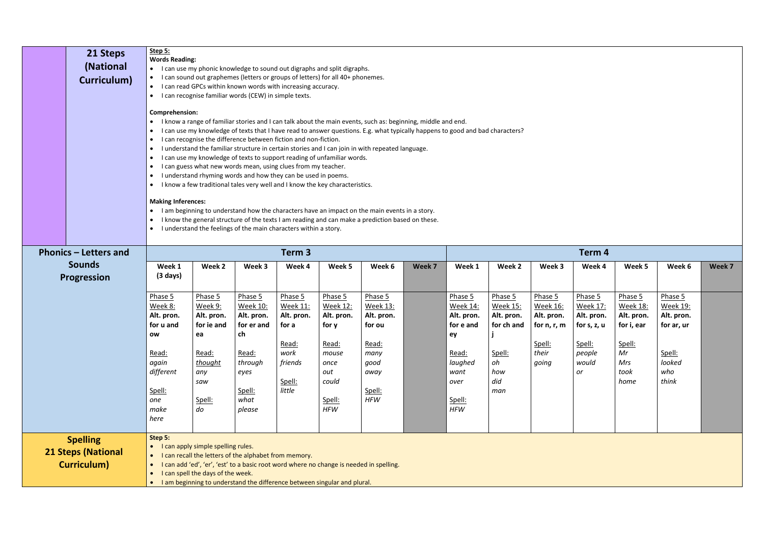| 21 Steps<br>(National<br>Curriculum)                               | Step 5:<br><b>Words Reading:</b><br>$\bullet$<br>$\bullet$<br>$\bullet$<br>$\bullet$<br>$\bullet$<br>$\bullet$<br>$\bullet$ | • I can use my phonic knowledge to sound out digraphs and split digraphs.<br>I can sound out graphemes (letters or groups of letters) for all 40+ phonemes.<br>I can read GPCs within known words with increasing accuracy.<br>I can recognise familiar words (CEW) in simple texts.<br><b>Comprehension:</b><br>I know a range of familiar stories and I can talk about the main events, such as: beginning, middle and end.<br>I can use my knowledge of texts that I have read to answer questions. E.g. what typically happens to good and bad characters?<br>I can recognise the difference between fiction and non-fiction.<br>I understand the familiar structure in certain stories and I can join in with repeated language.<br>I can use my knowledge of texts to support reading of unfamiliar words.<br>I can guess what new words mean, using clues from my teacher.<br>I understand rhyming words and how they can be used in poems.<br>$\bullet$ |                                                                                                               |                                                                                                   |                                                                                                                     |                                                                                                             |        |                                                                                                                         |                                                                                             |                                                                                |                                                                                            |                                                                                               |                                                                                            |  |  |
|--------------------------------------------------------------------|-----------------------------------------------------------------------------------------------------------------------------|-----------------------------------------------------------------------------------------------------------------------------------------------------------------------------------------------------------------------------------------------------------------------------------------------------------------------------------------------------------------------------------------------------------------------------------------------------------------------------------------------------------------------------------------------------------------------------------------------------------------------------------------------------------------------------------------------------------------------------------------------------------------------------------------------------------------------------------------------------------------------------------------------------------------------------------------------------------------|---------------------------------------------------------------------------------------------------------------|---------------------------------------------------------------------------------------------------|---------------------------------------------------------------------------------------------------------------------|-------------------------------------------------------------------------------------------------------------|--------|-------------------------------------------------------------------------------------------------------------------------|---------------------------------------------------------------------------------------------|--------------------------------------------------------------------------------|--------------------------------------------------------------------------------------------|-----------------------------------------------------------------------------------------------|--------------------------------------------------------------------------------------------|--|--|
| <b>Phonics – Letters and</b>                                       | $\bullet$<br>$\bullet$<br>$\bullet$                                                                                         | I know a few traditional tales very well and I know the key characteristics.<br><b>Making Inferences:</b><br>I am beginning to understand how the characters have an impact on the main events in a story.<br>I know the general structure of the texts I am reading and can make a prediction based on these.<br>I understand the feelings of the main characters within a story.                                                                                                                                                                                                                                                                                                                                                                                                                                                                                                                                                                              |                                                                                                               |                                                                                                   |                                                                                                                     |                                                                                                             |        |                                                                                                                         |                                                                                             |                                                                                |                                                                                            |                                                                                               |                                                                                            |  |  |
| <b>Sounds</b>                                                      | Week 1                                                                                                                      | Week 2                                                                                                                                                                                                                                                                                                                                                                                                                                                                                                                                                                                                                                                                                                                                                                                                                                                                                                                                                          | Week 3                                                                                                        | Term 3<br>Week 4                                                                                  | Week 5                                                                                                              | Week 6                                                                                                      | Week 7 | Term 4<br>Week 1<br>Week 2<br>Week 3<br>Week 6<br>Week 4<br>Week 5<br>Week 7                                            |                                                                                             |                                                                                |                                                                                            |                                                                                               |                                                                                            |  |  |
| <b>Progression</b>                                                 | $(3 \text{ days})$                                                                                                          |                                                                                                                                                                                                                                                                                                                                                                                                                                                                                                                                                                                                                                                                                                                                                                                                                                                                                                                                                                 |                                                                                                               |                                                                                                   |                                                                                                                     |                                                                                                             |        |                                                                                                                         |                                                                                             |                                                                                |                                                                                            |                                                                                               |                                                                                            |  |  |
|                                                                    | Phase 5<br>Week 8:<br>Alt. pron.<br>for u and<br>ow<br>Read:<br>again<br>different<br>Spell:<br>one<br>make<br>here         | Phase 5<br>Week 9:<br>Alt. pron.<br>for ie and<br>ea<br>Read:<br>thought<br>any<br>saw<br>Spell:<br>do                                                                                                                                                                                                                                                                                                                                                                                                                                                                                                                                                                                                                                                                                                                                                                                                                                                          | Phase 5<br>Week 10:<br>Alt. pron.<br>for er and<br>ch<br>Read:<br>through<br>eyes<br>Spell:<br>what<br>please | Phase 5<br><b>Week 11:</b><br>Alt. pron.<br>for a<br>Read:<br>work<br>friends<br>Spell:<br>little | Phase 5<br><b>Week 12:</b><br>Alt. pron.<br>for y<br>Read:<br>mouse<br>once<br>out<br>could<br>Spell:<br><b>HFW</b> | Phase 5<br><b>Week 13:</b><br>Alt. pron.<br>for ou<br>Read:<br>many<br>good<br>away<br>Spell:<br><b>HFW</b> |        | Phase 5<br><b>Week 14:</b><br>Alt. pron.<br>for e and<br>ey<br>Read:<br>laughed<br>want<br>over<br>Spell:<br><b>HFW</b> | Phase 5<br><b>Week 15:</b><br>Alt. pron.<br>for ch and<br>Spell:<br>oh<br>how<br>did<br>man | Phase 5<br>Week 16:<br>Alt. pron.<br>for $n, r, m$<br>Spell:<br>their<br>going | Phase 5<br><b>Week 17:</b><br>Alt. pron.<br>for s, z, u<br>Spell:<br>people<br>would<br>or | Phase 5<br><b>Week 18:</b><br>Alt. pron.<br>for i, ear<br>Spell:<br>Mr<br>Mrs<br>took<br>home | Phase 5<br><b>Week 19:</b><br>Alt. pron.<br>for ar, ur<br>Spell:<br>looked<br>who<br>think |  |  |
| <b>Spelling</b><br><b>21 Steps (National</b><br><b>Curriculum)</b> | Step 5:<br>$\bullet$<br>$\bullet$                                                                                           | I can apply simple spelling rules.<br>I can recall the letters of the alphabet from memory.<br>I can add 'ed', 'er', 'est' to a basic root word where no change is needed in spelling.<br>I can spell the days of the week.<br>I am beginning to understand the difference between singular and plural.                                                                                                                                                                                                                                                                                                                                                                                                                                                                                                                                                                                                                                                         |                                                                                                               |                                                                                                   |                                                                                                                     |                                                                                                             |        |                                                                                                                         |                                                                                             |                                                                                |                                                                                            |                                                                                               |                                                                                            |  |  |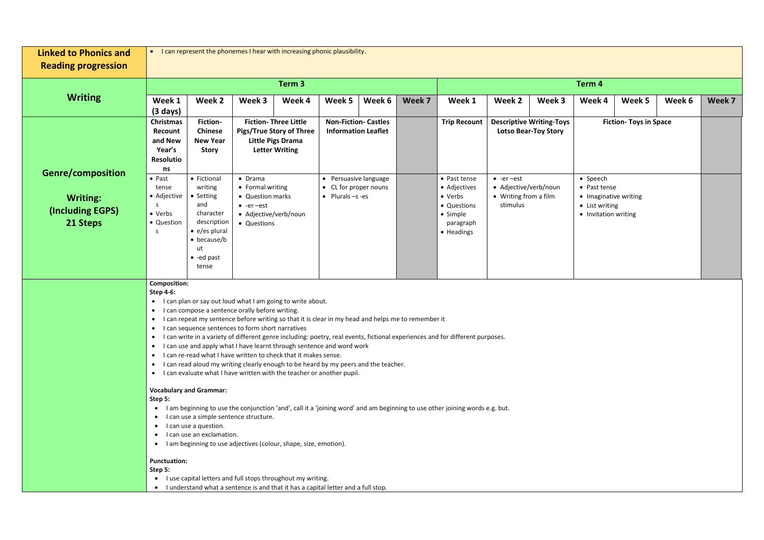| <b>Linked to Phonics and</b><br><b>Reading progression</b>                  |                                                                                                                                                                                                                                                                                                  | • I can represent the phonemes I hear with increasing phonic plausibility.                                                                                                                                                                                                                                                                                                                                                                                                                                                                                                                                                                                                                                                                                                                                                                                                                                                                                                                                                                                                     |                                                                                                                      |                                                                                                                      |                                                                            |                                                           |        |                                                                                               |                                                                                 |                                                                |                                                                                             |                               |        |        |  |
|-----------------------------------------------------------------------------|--------------------------------------------------------------------------------------------------------------------------------------------------------------------------------------------------------------------------------------------------------------------------------------------------|--------------------------------------------------------------------------------------------------------------------------------------------------------------------------------------------------------------------------------------------------------------------------------------------------------------------------------------------------------------------------------------------------------------------------------------------------------------------------------------------------------------------------------------------------------------------------------------------------------------------------------------------------------------------------------------------------------------------------------------------------------------------------------------------------------------------------------------------------------------------------------------------------------------------------------------------------------------------------------------------------------------------------------------------------------------------------------|----------------------------------------------------------------------------------------------------------------------|----------------------------------------------------------------------------------------------------------------------|----------------------------------------------------------------------------|-----------------------------------------------------------|--------|-----------------------------------------------------------------------------------------------|---------------------------------------------------------------------------------|----------------------------------------------------------------|---------------------------------------------------------------------------------------------|-------------------------------|--------|--------|--|
|                                                                             |                                                                                                                                                                                                                                                                                                  |                                                                                                                                                                                                                                                                                                                                                                                                                                                                                                                                                                                                                                                                                                                                                                                                                                                                                                                                                                                                                                                                                |                                                                                                                      | Term <sub>3</sub>                                                                                                    |                                                                            |                                                           |        |                                                                                               |                                                                                 |                                                                | Term 4                                                                                      |                               |        |        |  |
| <b>Writing</b>                                                              | Week 1<br>$(3 \text{ days})$                                                                                                                                                                                                                                                                     | Week 2                                                                                                                                                                                                                                                                                                                                                                                                                                                                                                                                                                                                                                                                                                                                                                                                                                                                                                                                                                                                                                                                         | Week 3                                                                                                               | Week 4                                                                                                               | Week 5                                                                     | Week 6                                                    | Week 7 | Week 1                                                                                        | Week 2                                                                          | Week 3                                                         | Week 4                                                                                      | Week 5                        | Week 6 | Week 7 |  |
|                                                                             | <b>Christmas</b><br>Recount<br>and New<br>Year's<br>Resolutio<br>ns                                                                                                                                                                                                                              | Fiction-<br><b>Chinese</b><br><b>New Year</b><br><b>Story</b>                                                                                                                                                                                                                                                                                                                                                                                                                                                                                                                                                                                                                                                                                                                                                                                                                                                                                                                                                                                                                  |                                                                                                                      | <b>Fiction- Three Little</b><br><b>Pigs/True Story of Three</b><br><b>Little Pigs Drama</b><br><b>Letter Writing</b> |                                                                            | <b>Non-Fiction- Castles</b><br><b>Information Leaflet</b> |        | <b>Trip Recount</b>                                                                           |                                                                                 | <b>Descriptive Writing-Toys</b><br><b>Lotso Bear-Toy Story</b> |                                                                                             | <b>Fiction- Toys in Space</b> |        |        |  |
| <b>Genre/composition</b><br><b>Writing:</b><br>(Including EGPS)<br>21 Steps | $\bullet$ Past<br>tense<br>• Adjective<br>-S<br>• Verbs<br>• Question<br>-S                                                                                                                                                                                                                      | • Fictional<br>writing<br>• Setting<br>and<br>character<br>description<br>$\bullet$ e/es plural<br>$\bullet$ because/b<br>ut<br>$\bullet$ -ed past<br>tense                                                                                                                                                                                                                                                                                                                                                                                                                                                                                                                                                                                                                                                                                                                                                                                                                                                                                                                    | $\bullet$ Drama<br>• Formal writing<br>• Question marks<br>$\bullet$ -er-est<br>• Adjective/verb/noun<br>• Questions |                                                                                                                      | • Persuasive language<br>• CL for proper nouns<br>$\bullet$ Plurals -s -es |                                                           |        | • Past tense<br>• Adjectives<br>• Verbs<br>• Questions<br>• Simple<br>paragraph<br>• Headings | $\bullet$ -er-est<br>• Adjective/verb/noun<br>• Writing from a film<br>stimulus |                                                                | • Speech<br>• Past tense<br>• Imaginative writing<br>• List writing<br>• Invitation writing |                               |        |        |  |
|                                                                             | <b>Composition:</b><br><b>Step 4-6:</b><br>$\bullet$<br>$\bullet$<br>$\bullet$<br>$\bullet$<br>Step 5:<br><b>Punctuation:</b><br>Step 5:<br>• I use capital letters and full stops throughout my writing.<br>• I understand what a sentence is and that it has a capital letter and a full stop. | I can plan or say out loud what I am going to write about.<br>I can compose a sentence orally before writing.<br>I can repeat my sentence before writing so that it is clear in my head and helps me to remember it<br>I can sequence sentences to form short narratives<br>• I can write in a variety of different genre including: poetry, real events, fictional experiences and for different purposes.<br>• I can use and apply what I have learnt through sentence and word work<br>• I can re-read what I have written to check that it makes sense.<br>• I can read aloud my writing clearly enough to be heard by my peers and the teacher.<br>• I can evaluate what I have written with the teacher or another pupil.<br><b>Vocabulary and Grammar:</b><br>• I am beginning to use the conjunction 'and', call it a 'joining word' and am beginning to use other joining words e.g. but.<br>• I can use a simple sentence structure.<br>• I can use a question.<br>• I can use an exclamation.<br>• I am beginning to use adjectives (colour, shape, size, emotion). |                                                                                                                      |                                                                                                                      |                                                                            |                                                           |        |                                                                                               |                                                                                 |                                                                |                                                                                             |                               |        |        |  |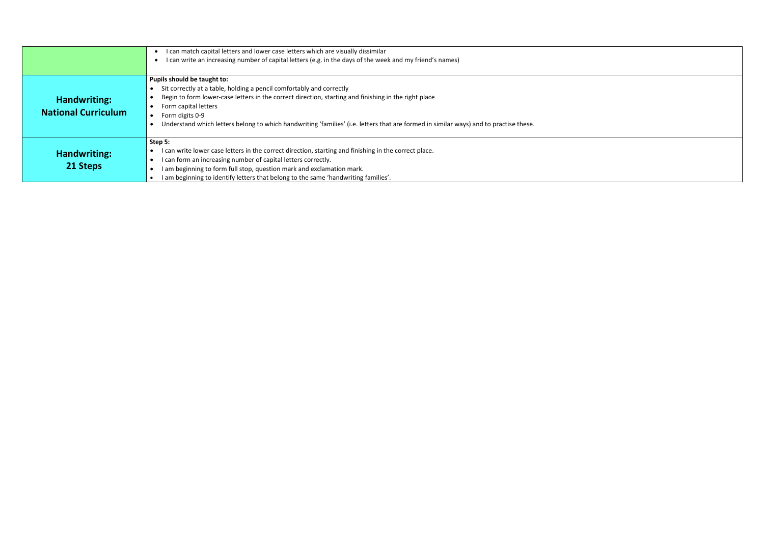|                            | I can match capital letters and lower case letters which are visually dissimilar                                                      |
|----------------------------|---------------------------------------------------------------------------------------------------------------------------------------|
|                            | I can write an increasing number of capital letters (e.g. in the days of the week and my friend's names)                              |
|                            |                                                                                                                                       |
|                            | Pupils should be taught to:                                                                                                           |
|                            | Sit correctly at a table, holding a pencil comfortably and correctly                                                                  |
| Handwriting:               | Begin to form lower-case letters in the correct direction, starting and finishing in the right place                                  |
|                            | Form capital letters                                                                                                                  |
| <b>National Curriculum</b> | Form digits 0-9                                                                                                                       |
|                            | Understand which letters belong to which handwriting 'families' (i.e. letters that are formed in similar ways) and to practise these. |
|                            |                                                                                                                                       |
|                            | Step 5:                                                                                                                               |
| Handwriting:               | can write lower case letters in the correct direction, starting and finishing in the correct place.                                   |
|                            | I can form an increasing number of capital letters correctly.                                                                         |
| 21 Steps                   | I am beginning to form full stop, question mark and exclamation mark.                                                                 |
|                            | I am beginning to identify letters that belong to the same 'handwriting families'.                                                    |

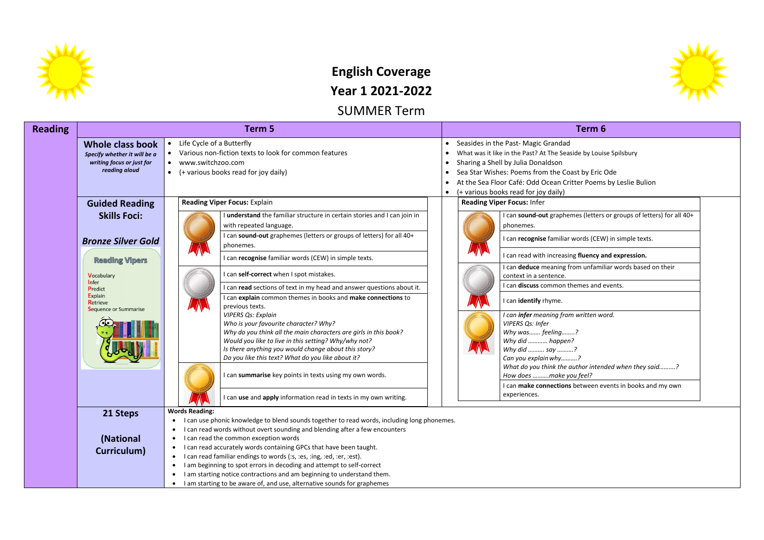

## **English Coverage Year 1 2021-2022**

SUMMER Term

| <b>Reading</b> |                                                                                                                                                                                                                          | Term 5                                                                                                                                                                                                                                                                                                                                                                                                                                                                                                                                                                                                                                                                                                                                                                                                                                                                     | Term <sub>6</sub>                                                                                                                                                                                                                                                                                                                                                                                                                                                                                                |  |  |  |  |
|----------------|--------------------------------------------------------------------------------------------------------------------------------------------------------------------------------------------------------------------------|----------------------------------------------------------------------------------------------------------------------------------------------------------------------------------------------------------------------------------------------------------------------------------------------------------------------------------------------------------------------------------------------------------------------------------------------------------------------------------------------------------------------------------------------------------------------------------------------------------------------------------------------------------------------------------------------------------------------------------------------------------------------------------------------------------------------------------------------------------------------------|------------------------------------------------------------------------------------------------------------------------------------------------------------------------------------------------------------------------------------------------------------------------------------------------------------------------------------------------------------------------------------------------------------------------------------------------------------------------------------------------------------------|--|--|--|--|
|                | Whole class book<br>Specify whether it will be a<br>writing focus or just for<br>reading aloud                                                                                                                           | Life Cycle of a Butterfly<br>$\bullet$<br>Various non-fiction texts to look for common features<br>www.switchzoo.com<br>$\bullet$<br>(+ various books read for joy daily)<br>$\bullet$                                                                                                                                                                                                                                                                                                                                                                                                                                                                                                                                                                                                                                                                                     | Seasides in the Past- Magic Grandad<br>What was it like in the Past? At The Seaside by Louis<br>Sharing a Shell by Julia Donaldson<br>$\bullet$<br>Sea Star Wishes: Poems from the Coast by Eric (<br>At the Sea Floor Café: Odd Ocean Critter Poems<br>(+ various books read for joy daily)<br>$\bullet$                                                                                                                                                                                                        |  |  |  |  |
|                | <b>Guided Reading</b><br><b>Skills Foci:</b><br><b>Bronze Silver Gold</b><br><b>Reading Vipers</b><br><b>Vocabulary</b><br><b>I</b> nfer<br>Predict<br><b>Explain</b><br><b>Retrieve</b><br><b>Sequence or Summarise</b> | <b>Reading Viper Focus: Explain</b><br>I understand the familiar structure in certain stories and I can join in<br>with repeated language.<br>I can sound-out graphemes (letters or groups of letters) for all 40+<br>phonemes.<br>I can recognise familiar words (CEW) in simple texts.<br>I can self-correct when I spot mistakes.<br>I can read sections of text in my head and answer questions about it.<br>I can explain common themes in books and make connections to<br>previous texts.<br><b>VIPERS Qs: Explain</b><br>Who is your favourite character? Why?<br>Why do you think all the main characters are girls in this book?<br>Would you like to live in this setting? Why/why not?<br>Is there anything you would change about this story?<br>Do you like this text? What do you like about it?<br>I can summarise key points in texts using my own words. | <b>Reading Viper Focus: Infer</b><br>I can sound-out graphemes (letters<br>phonemes.<br>I can recognise familiar words (CEW<br>I can read with increasing fluency at<br>I can deduce meaning from unfamil<br>context in a sentence.<br>I can discuss common themes and e<br>I can identify rhyme.<br>I can infer meaning from written wo<br>VIPERS Qs: Infer<br>Why was feeling?<br>Why did  happen?<br>Why did  say ?<br>Can you explain why?<br>What do you think the author intend<br>How does make you feel? |  |  |  |  |
|                | 21 Steps                                                                                                                                                                                                                 | I can use and apply information read in texts in my own writing.<br><b>Words Reading:</b>                                                                                                                                                                                                                                                                                                                                                                                                                                                                                                                                                                                                                                                                                                                                                                                  | I can make connections between ev<br>experiences.                                                                                                                                                                                                                                                                                                                                                                                                                                                                |  |  |  |  |
|                | (National<br>Curriculum)                                                                                                                                                                                                 | I can use phonic knowledge to blend sounds together to read words, including long phonemes.<br>I can read words without overt sounding and blending after a few encounters<br>$\bullet$<br>I can read the common exception words<br>$\bullet$<br>I can read accurately words containing GPCs that have been taught.<br>$\bullet$<br>I can read familiar endings to words (:s, :es, :ing, :ed, :er, :est).<br>$\bullet$<br>I am beginning to spot errors in decoding and attempt to self-correct<br>$\bullet$<br>I am starting notice contractions and am beginning to understand them.<br>$\bullet$<br>I am starting to be aware of, and use, alternative sounds for graphemes                                                                                                                                                                                             |                                                                                                                                                                                                                                                                                                                                                                                                                                                                                                                  |  |  |  |  |



de by Louise Spilsbury

st by Eric Ode ter Poems by Leslie Bulion

es (letters or groups of letters) for all 40+

**I** records (CEW) in simple texts.

**fluency and expression.** 

m unfamiliar words based on their

**Imes and events.** 

*I can infer meaning from written word.* 

*What do you think the author intended when they said……….? How does ……….make you feel?*

**I** etween events in books and my own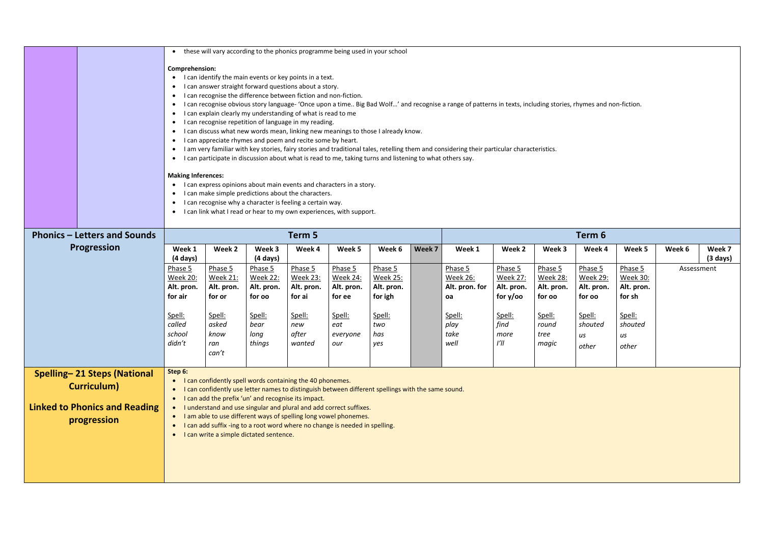|                                                                                                           | these will vary according to the phonics programme being used in your school<br>$\bullet$<br>$\bullet$<br>$\bullet$<br>$\bullet$<br>$\bullet$<br>$\bullet$<br>$\bullet$<br>$\bullet$<br>$\bullet$<br>$\bullet$<br>$\bullet$<br>$\bullet$<br>$\bullet$                                                                                                                                                                                                                                                                                                        | <b>Comprehension:</b><br>I can identify the main events or key points in a text.<br>I can answer straight forward questions about a story.<br>I can recognise the difference between fiction and non-fiction.<br>I can recognise obvious story language- 'Once upon a time Big Bad Wolf' and recognise a range of patterns in texts, including stories, rhymes and non-fiction.<br>I can explain clearly my understanding of what is read to me<br>I can recognise repetition of language in my reading.<br>I can discuss what new words mean, linking new meanings to those I already know.<br>I can appreciate rhymes and poem and recite some by heart.<br>I am very familiar with key stories, fairy stories and traditional tales, retelling them and considering their particular characteristics.<br>• I can participate in discussion about what is read to me, taking turns and listening to what others say.<br><b>Making Inferences:</b><br>I can express opinions about main events and characters in a story.<br>I can make simple predictions about the characters.<br>I can recognise why a character is feeling a certain way.<br>I can link what I read or hear to my own experiences, with support. |                                                                                        |                                                                                        |                                                                                        |                                                                                           |        |                                                                                             |                                                                                          |                                                                                        |                                                                                        |                                                                                        |            |                              |  |
|-----------------------------------------------------------------------------------------------------------|--------------------------------------------------------------------------------------------------------------------------------------------------------------------------------------------------------------------------------------------------------------------------------------------------------------------------------------------------------------------------------------------------------------------------------------------------------------------------------------------------------------------------------------------------------------|-----------------------------------------------------------------------------------------------------------------------------------------------------------------------------------------------------------------------------------------------------------------------------------------------------------------------------------------------------------------------------------------------------------------------------------------------------------------------------------------------------------------------------------------------------------------------------------------------------------------------------------------------------------------------------------------------------------------------------------------------------------------------------------------------------------------------------------------------------------------------------------------------------------------------------------------------------------------------------------------------------------------------------------------------------------------------------------------------------------------------------------------------------------------------------------------------------------------------|----------------------------------------------------------------------------------------|----------------------------------------------------------------------------------------|----------------------------------------------------------------------------------------|-------------------------------------------------------------------------------------------|--------|---------------------------------------------------------------------------------------------|------------------------------------------------------------------------------------------|----------------------------------------------------------------------------------------|----------------------------------------------------------------------------------------|----------------------------------------------------------------------------------------|------------|------------------------------|--|
| <b>Phonics – Letters and Sounds</b>                                                                       |                                                                                                                                                                                                                                                                                                                                                                                                                                                                                                                                                              | Term 5<br>Term 6                                                                                                                                                                                                                                                                                                                                                                                                                                                                                                                                                                                                                                                                                                                                                                                                                                                                                                                                                                                                                                                                                                                                                                                                      |                                                                                        |                                                                                        |                                                                                        |                                                                                           |        |                                                                                             |                                                                                          |                                                                                        |                                                                                        |                                                                                        |            |                              |  |
| <b>Progression</b>                                                                                        | Week 1<br>$(4 \text{ days})$                                                                                                                                                                                                                                                                                                                                                                                                                                                                                                                                 | Week 2                                                                                                                                                                                                                                                                                                                                                                                                                                                                                                                                                                                                                                                                                                                                                                                                                                                                                                                                                                                                                                                                                                                                                                                                                | Week 3<br>$(4 \text{ days})$                                                           | Week 4                                                                                 | Week 5                                                                                 | Week 6                                                                                    | Week 7 | Week 1                                                                                      | Week 2                                                                                   | Week 3                                                                                 | Week 4                                                                                 | Week 5                                                                                 | Week 6     | Week 7<br>$(3 \text{ days})$ |  |
|                                                                                                           | Phase 5<br><b>Week 20:</b><br>Alt. pron.<br>for air<br>Spell:<br>called<br>school<br>didn't                                                                                                                                                                                                                                                                                                                                                                                                                                                                  | Phase 5<br><b>Week 21:</b><br>Alt. pron.<br>for or<br>Spell:<br>asked<br>know<br>ran<br>can't                                                                                                                                                                                                                                                                                                                                                                                                                                                                                                                                                                                                                                                                                                                                                                                                                                                                                                                                                                                                                                                                                                                         | Phase 5<br><b>Week 22:</b><br>Alt. pron.<br>for oo<br>Spell:<br>bear<br>long<br>things | Phase 5<br><b>Week 23:</b><br>Alt. pron.<br>for ai<br>Spell:<br>new<br>after<br>wanted | Phase 5<br><b>Week 24:</b><br>Alt. pron.<br>for ee<br>Spell:<br>eat<br>everyone<br>our | Phase 5<br><b>Week 25:</b><br>Alt. pron.<br>for igh<br><u>Spell:</u><br>two<br>has<br>yes |        | Phase 5<br><b>Week 26:</b><br>Alt. pron. for<br>oa<br><u>Spell:</u><br>play<br>take<br>well | Phase 5<br><b>Week 27:</b><br>Alt. pron.<br>for $y/$ oo<br>Spell:<br>find<br>more<br>ľII | Phase 5<br><b>Week 28:</b><br>Alt. pron.<br>for oo<br>Spell:<br>round<br>tree<br>magic | Phase 5<br><b>Week 29:</b><br>Alt. pron.<br>for oo<br>Spell:<br>shouted<br>us<br>other | Phase 5<br><b>Week 30:</b><br>Alt. pron.<br>for sh<br>Spell:<br>shouted<br>us<br>other | Assessment |                              |  |
| Spelling-21 Steps (National<br><b>Curriculum</b> )<br><b>Linked to Phonics and Reading</b><br>progression | Step 6:<br>• I can confidently spell words containing the 40 phonemes.<br>I can confidently use letter names to distinguish between different spellings with the same sound.<br>$\bullet$<br>I can add the prefix 'un' and recognise its impact.<br>$\bullet$<br>I understand and use singular and plural and add correct suffixes.<br>• I am able to use different ways of spelling long vowel phonemes.<br>I can add suffix-ing to a root word where no change is needed in spelling.<br>$\bullet$<br>I can write a simple dictated sentence.<br>$\bullet$ |                                                                                                                                                                                                                                                                                                                                                                                                                                                                                                                                                                                                                                                                                                                                                                                                                                                                                                                                                                                                                                                                                                                                                                                                                       |                                                                                        |                                                                                        |                                                                                        |                                                                                           |        |                                                                                             |                                                                                          |                                                                                        |                                                                                        |                                                                                        |            |                              |  |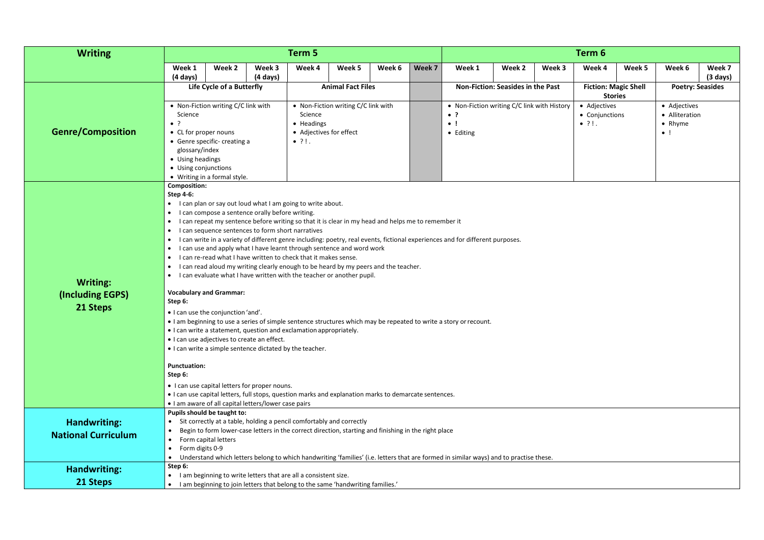| <b>Writing</b>                                  |                                                                                                                                               |                                                                                                                                                                                                                                                                                                                                                                                                                                                                                                                                                                                                                                                                                                                                                                                                                                                 |                    | Term 5                                                            |                                     |        |        |                                                                                                                                                                                                                                                      |                                          |        | Term 6                                          |                                               |                                                                  |                    |
|-------------------------------------------------|-----------------------------------------------------------------------------------------------------------------------------------------------|-------------------------------------------------------------------------------------------------------------------------------------------------------------------------------------------------------------------------------------------------------------------------------------------------------------------------------------------------------------------------------------------------------------------------------------------------------------------------------------------------------------------------------------------------------------------------------------------------------------------------------------------------------------------------------------------------------------------------------------------------------------------------------------------------------------------------------------------------|--------------------|-------------------------------------------------------------------|-------------------------------------|--------|--------|------------------------------------------------------------------------------------------------------------------------------------------------------------------------------------------------------------------------------------------------------|------------------------------------------|--------|-------------------------------------------------|-----------------------------------------------|------------------------------------------------------------------|--------------------|
|                                                 | Week 1                                                                                                                                        | Week 2                                                                                                                                                                                                                                                                                                                                                                                                                                                                                                                                                                                                                                                                                                                                                                                                                                          | Week 3             | Week 4                                                            | Week 5                              | Week 6 | Week 7 | Week 1                                                                                                                                                                                                                                               | Week 2                                   | Week 3 | Week 4                                          | Week 5                                        | Week 6                                                           | Week 7             |
|                                                 | (4 days)                                                                                                                                      |                                                                                                                                                                                                                                                                                                                                                                                                                                                                                                                                                                                                                                                                                                                                                                                                                                                 | $(4 \text{ days})$ |                                                                   | <b>Animal Fact Files</b>            |        |        |                                                                                                                                                                                                                                                      | <b>Non-Fiction: Seasides in the Past</b> |        |                                                 |                                               |                                                                  | $(3 \text{ days})$ |
|                                                 |                                                                                                                                               | Life Cycle of a Butterfly                                                                                                                                                                                                                                                                                                                                                                                                                                                                                                                                                                                                                                                                                                                                                                                                                       |                    |                                                                   |                                     |        |        |                                                                                                                                                                                                                                                      |                                          |        |                                                 | <b>Fiction: Magic Shell</b><br><b>Stories</b> | <b>Poetry: Seasides</b>                                          |                    |
| <b>Genre/Composition</b>                        | Science<br>$\bullet$ ?<br>• CL for proper nouns<br>glossary/index<br>• Using headings<br>• Using conjunctions                                 | • Non-Fiction writing C/C link with<br>• Genre specific- creating a<br>• Writing in a formal style.                                                                                                                                                                                                                                                                                                                                                                                                                                                                                                                                                                                                                                                                                                                                             |                    | Science<br>• Headings<br>• Adjectives for effect<br>$\bullet$ ?!. | • Non-Fiction writing C/C link with |        |        | • Non-Fiction writing C/C link with History<br>$\bullet$ ?<br>$\bullet$<br>• Editing                                                                                                                                                                 |                                          |        | • Adjectives<br>• Conjunctions<br>$\bullet$ ?!. |                                               | • Adjectives<br>• Alliteration<br>$\bullet$ Rhyme<br>$\bullet$ ! |                    |
| <b>Writing:</b><br>(Including EGPS)<br>21 Steps | <b>Composition:</b><br><b>Step 4-6:</b><br>$\bullet$<br>$\bullet$<br>$\bullet$<br>$\bullet$<br>$\bullet$<br>$\bullet$<br>$\bullet$<br>Step 6: | I can plan or say out loud what I am going to write about.<br>• I can compose a sentence orally before writing.<br>I can repeat my sentence before writing so that it is clear in my head and helps me to remember it<br>I can sequence sentences to form short narratives<br>I can use and apply what I have learnt through sentence and word work<br>I can re-read what I have written to check that it makes sense.<br>I can read aloud my writing clearly enough to be heard by my peers and the teacher.<br>I can evaluate what I have written with the teacher or another pupil.<br><b>Vocabulary and Grammar:</b><br>. I can use the conjunction 'and'.<br>• I can write a statement, question and exclamation appropriately.<br>• I can use adjectives to create an effect.<br>• I can write a simple sentence dictated by the teacher. |                    |                                                                   |                                     |        |        | • I can write in a variety of different genre including: poetry, real events, fictional experiences and for different purposes.<br>• I am beginning to use a series of simple sentence structures which may be repeated to write a story or recount. |                                          |        |                                                 |                                               |                                                                  |                    |
|                                                 | <b>Punctuation:</b><br>Step 6:                                                                                                                | • I can use capital letters for proper nouns.<br>. I can use capital letters, full stops, question marks and explanation marks to demarcate sentences.                                                                                                                                                                                                                                                                                                                                                                                                                                                                                                                                                                                                                                                                                          |                    |                                                                   |                                     |        |        |                                                                                                                                                                                                                                                      |                                          |        |                                                 |                                               |                                                                  |                    |
|                                                 |                                                                                                                                               | • I am aware of all capital letters/lower case pairs<br>Pupils should be taught to:                                                                                                                                                                                                                                                                                                                                                                                                                                                                                                                                                                                                                                                                                                                                                             |                    |                                                                   |                                     |        |        |                                                                                                                                                                                                                                                      |                                          |        |                                                 |                                               |                                                                  |                    |
| <b>Handwriting:</b>                             |                                                                                                                                               | Sit correctly at a table, holding a pencil comfortably and correctly                                                                                                                                                                                                                                                                                                                                                                                                                                                                                                                                                                                                                                                                                                                                                                            |                    |                                                                   |                                     |        |        |                                                                                                                                                                                                                                                      |                                          |        |                                                 |                                               |                                                                  |                    |
| <b>National Curriculum</b>                      | $\bullet$                                                                                                                                     | Begin to form lower-case letters in the correct direction, starting and finishing in the right place<br>Form capital letters                                                                                                                                                                                                                                                                                                                                                                                                                                                                                                                                                                                                                                                                                                                    |                    |                                                                   |                                     |        |        |                                                                                                                                                                                                                                                      |                                          |        |                                                 |                                               |                                                                  |                    |
|                                                 | Form digits 0-9                                                                                                                               |                                                                                                                                                                                                                                                                                                                                                                                                                                                                                                                                                                                                                                                                                                                                                                                                                                                 |                    |                                                                   |                                     |        |        |                                                                                                                                                                                                                                                      |                                          |        |                                                 |                                               |                                                                  |                    |
|                                                 | Step 6:                                                                                                                                       |                                                                                                                                                                                                                                                                                                                                                                                                                                                                                                                                                                                                                                                                                                                                                                                                                                                 |                    |                                                                   |                                     |        |        | Understand which letters belong to which handwriting 'families' (i.e. letters that are formed in similar ways) and to practise these.                                                                                                                |                                          |        |                                                 |                                               |                                                                  |                    |
| Handwriting:                                    | I am beginning to write letters that are all a consistent size.<br>$\bullet$                                                                  |                                                                                                                                                                                                                                                                                                                                                                                                                                                                                                                                                                                                                                                                                                                                                                                                                                                 |                    |                                                                   |                                     |        |        |                                                                                                                                                                                                                                                      |                                          |        |                                                 |                                               |                                                                  |                    |
| 21 Steps                                        |                                                                                                                                               | I am beginning to join letters that belong to the same 'handwriting families.'                                                                                                                                                                                                                                                                                                                                                                                                                                                                                                                                                                                                                                                                                                                                                                  |                    |                                                                   |                                     |        |        |                                                                                                                                                                                                                                                      |                                          |        |                                                 |                                               |                                                                  |                    |